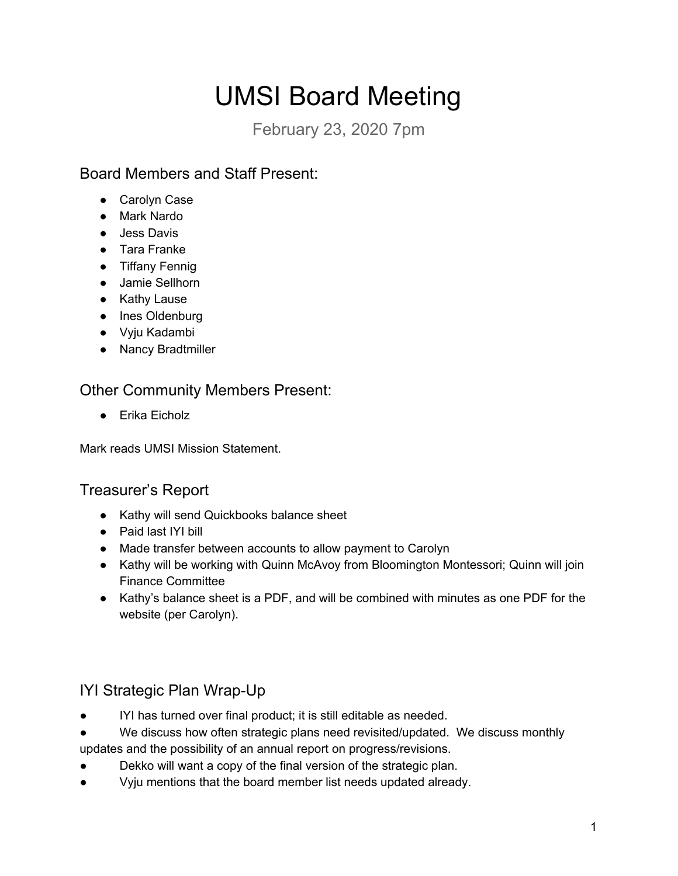# UMSI Board Meeting

February 23, 2020 7pm

## Board Members and Staff Present:

- Carolyn Case
- Mark Nardo
- Jess Davis
- Tara Franke
- Tiffany Fennig
- Jamie Sellhorn
- Kathy Lause
- Ines Oldenburg
- Vyju Kadambi
- Nancy Bradtmiller

### Other Community Members Present:

● Erika Eicholz

Mark reads UMSI Mission Statement.

### Treasurer's Report

- Kathy will send Quickbooks balance sheet
- Paid last IYI bill
- Made transfer between accounts to allow payment to Carolyn
- Kathy will be working with Quinn McAvoy from Bloomington Montessori; Quinn will join Finance Committee
- Kathy's balance sheet is a PDF, and will be combined with minutes as one PDF for the website (per Carolyn).

## IYI Strategic Plan Wrap-Up

- IYI has turned over final product; it is still editable as needed.
- We discuss how often strategic plans need revisited/updated. We discuss monthly
- updates and the possibility of an annual report on progress/revisions.
- Dekko will want a copy of the final version of the strategic plan.
- Vyju mentions that the board member list needs updated already.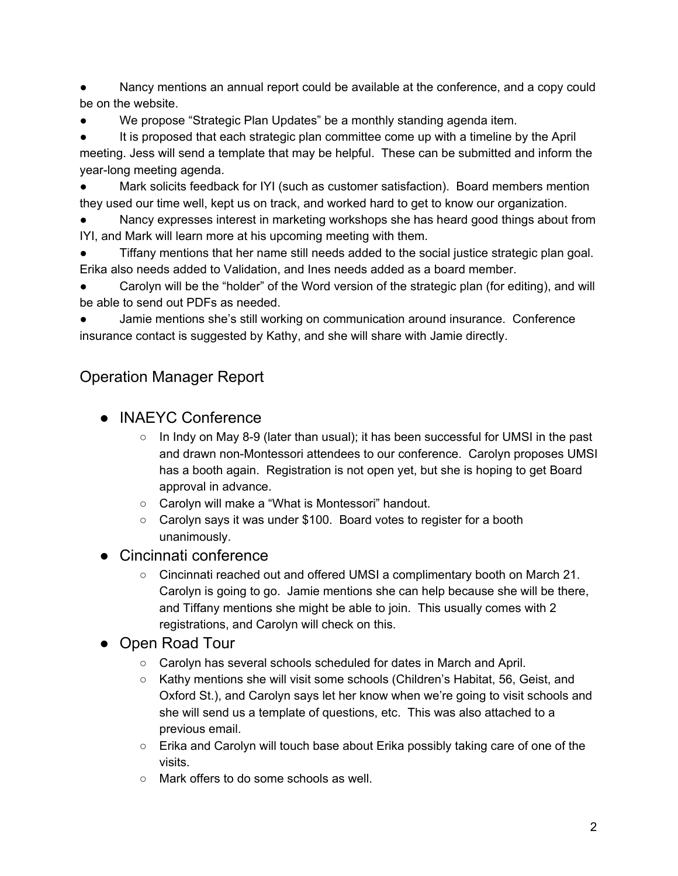Nancy mentions an annual report could be available at the conference, and a copy could be on the website.

We propose "Strategic Plan Updates" be a monthly standing agenda item.

It is proposed that each strategic plan committee come up with a timeline by the April meeting. Jess will send a template that may be helpful. These can be submitted and inform the year-long meeting agenda.

Mark solicits feedback for IYI (such as customer satisfaction). Board members mention they used our time well, kept us on track, and worked hard to get to know our organization.

Nancy expresses interest in marketing workshops she has heard good things about from IYI, and Mark will learn more at his upcoming meeting with them.

Tiffany mentions that her name still needs added to the social justice strategic plan goal. Erika also needs added to Validation, and Ines needs added as a board member.

Carolyn will be the "holder" of the Word version of the strategic plan (for editing), and will be able to send out PDFs as needed.

Jamie mentions she's still working on communication around insurance. Conference insurance contact is suggested by Kathy, and she will share with Jamie directly.

## Operation Manager Report

- INAEYC Conference
	- In Indy on May 8-9 (later than usual); it has been successful for UMSI in the past and drawn non-Montessori attendees to our conference. Carolyn proposes UMSI has a booth again. Registration is not open yet, but she is hoping to get Board approval in advance.
	- Carolyn will make a "What is Montessori" handout.
	- Carolyn says it was under \$100. Board votes to register for a booth unanimously.
- Cincinnati conference
	- Cincinnati reached out and offered UMSI a complimentary booth on March 21. Carolyn is going to go. Jamie mentions she can help because she will be there, and Tiffany mentions she might be able to join. This usually comes with 2 registrations, and Carolyn will check on this.
- Open Road Tour
	- Carolyn has several schools scheduled for dates in March and April.
	- Kathy mentions she will visit some schools (Children's Habitat, 56, Geist, and Oxford St.), and Carolyn says let her know when we're going to visit schools and she will send us a template of questions, etc. This was also attached to a previous email.
	- Erika and Carolyn will touch base about Erika possibly taking care of one of the visits.
	- Mark offers to do some schools as well.